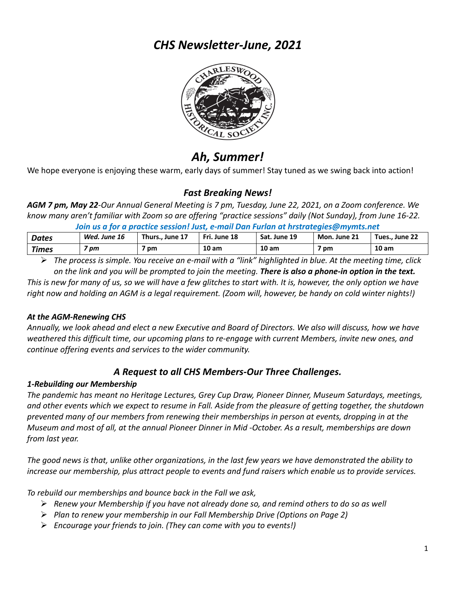## *CHS Newsletter-June, 2021*



# *Ah, Summer!*

We hope everyone is enjoying these warm, early days of summer! Stay tuned as we swing back into action!

## *Fast Breaking News!*

*AGM 7 pm, May 22-Our Annual General Meeting is 7 pm, Tuesday, June 22, 2021, on a Zoom conference. We know many aren't familiar with Zoom so are offering "practice sessions" daily (Not Sunday), from June 16-22.*

*Join us a for a practice session! Just, e-mail Dan Furlan at hrstrategies@mymts.net*

| Dates | Wed. June 16 | Thurs June 17 | Fri. June 18     | Sat. June 19     | Mon. June 21 | Tues., June 22 |
|-------|--------------|---------------|------------------|------------------|--------------|----------------|
| Times | pm           | pm            | 10 <sub>am</sub> | 10 <sub>am</sub> | pm           | 10 am          |

Ø *The process is simple. You receive an e-mail with a "link" highlighted in blue. At the meeting time, click on the link and you will be prompted to join the meeting. There is also a phone-in option in the text.*

*This is new for many of us, so we will have a few glitches to start with. It is, however, the only option we have right now and holding an AGM is a legal requirement. (Zoom will, however, be handy on cold winter nights!)*

#### *At the AGM-Renewing CHS*

*Annually, we look ahead and elect a new Executive and Board of Directors. We also will discuss, how we have weathered this difficult time, our upcoming plans to re-engage with current Members, invite new ones, and continue offering events and services to the wider community.*

### *A Request to all CHS Members-Our Three Challenges.*

#### *1-Rebuilding our Membership*

*The pandemic has meant no Heritage Lectures, Grey Cup Draw, Pioneer Dinner, Museum Saturdays, meetings, and other events which we expect to resume in Fall. Aside from the pleasure of getting together, the shutdown prevented many of our members from renewing their memberships in person at events, dropping in at the Museum and most of all, at the annual Pioneer Dinner in Mid -October. As a result, memberships are down from last year.* 

*The good news is that, unlike other organizations, in the last few years we have demonstrated the ability to increase our membership, plus attract people to events and fund raisers which enable us to provide services.*

*To rebuild our memberships and bounce back in the Fall we ask,*

- Ø *Renew your Membership if you have not already done so, and remind others to do so as well*
- Ø *Plan to renew your membership in our Fall Membership Drive (Options on Page 2)*
- Ø *Encourage your friends to join. (They can come with you to events!)*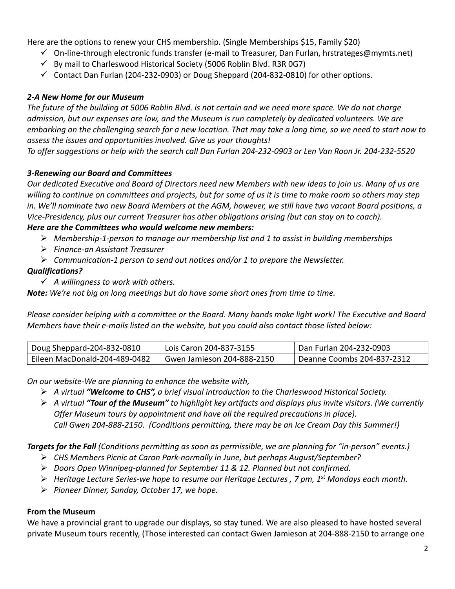Here are the options to renew your CHS membership. (Single Memberships \$15, Family \$20)

- $\checkmark$  On-line-through electronic funds transfer (e-mail to Treasurer, Dan Furlan, hrstrateges@mymts.net)
- $\checkmark$  By mail to Charleswood Historical Society (5006 Roblin Blvd. R3R 0G7)
- $\checkmark$  Contact Dan Furlan (204-232-0903) or Doug Sheppard (204-832-0810) for other options.

#### *2-A New Home for our Museum*

*The future of the building at 5006 Roblin Blvd. is not certain and we need more space. We do not charge admission, but our expenses are low, and the Museum is run completely by dedicated volunteers. We are embarking on the challenging search for a new location. That may take a long time, so we need to start now to assess the issues and opportunities involved. Give us your thoughts!* 

*To offer suggestions or help with the search call Dan Furlan 204-232-0903 or Len Van Roon Jr. 204-232-5520*

#### *3-Renewing our Board and Committees*

*Our dedicated Executive and Board of Directors need new Members with new ideas to join us. Many of us are willing to continue on committees and projects, but for some of us it is time to make room so others may step in. We'll nominate two new Board Members at the AGM, however, we still have two vacant Board positions, a Vice-Presidency, plus our current Treasurer has other obligations arising (but can stay on to coach). Here are the Committees who would welcome new members:*

- Ø *Membership-1-person to manage our membership list and 1 to assist in building memberships*
- Ø *Finance-an Assistant Treasurer*
- Ø *Communication-1 person to send out notices and/or 1 to prepare the Newsletter.*

#### *Qualifications?*

ü *A willingness to work with others.* 

*Note: We're not big on long meetings but do have some short ones from time to time.*

*Please consider helping with a committee or the Board. Many hands make light work! The Executive and Board Members have their e-mails listed on the website, but you could also contact those listed below:*

| Doug Sheppard-204-832-0810    | Lois Caron 204-837-3155    | Dan Furlan 204-232-0903    |
|-------------------------------|----------------------------|----------------------------|
| Eileen MacDonald-204-489-0482 | Gwen Jamieson 204-888-2150 | Deanne Coombs 204-837-2312 |

*On our website-We are planning to enhance the website with,*

- Ø *A virtual "Welcome to CHS", a brief visual introduction to the Charleswood Historical Society.*
- Ø *A virtual "Tour of the Museum" to highlight key artifacts and displays plus invite visitors. (We currently Offer Museum tours by appointment and have all the required precautions in place). Call Gwen 204-888-2150. (Conditions permitting, there may be an Ice Cream Day this Summer!)*

*Targets for the Fall (Conditions permitting as soon as permissible, we are planning for "in-person" events.)*

- Ø *CHS Members Picnic at Caron Park-normally in June, but perhaps August/September?*
- Ø *Doors Open Winnipeg-planned for September 11 & 12. Planned but not confirmed.*
- Ø *Heritage Lecture Series-we hope to resume our Heritage Lectures , 7 pm, 1st Mondays each month.*
- Ø *Pioneer Dinner, Sunday, October 17, we hope.*

#### **From the Museum**

We have a provincial grant to upgrade our displays, so stay tuned. We are also pleased to have hosted several private Museum tours recently, (Those interested can contact Gwen Jamieson at 204-888-2150 to arrange one